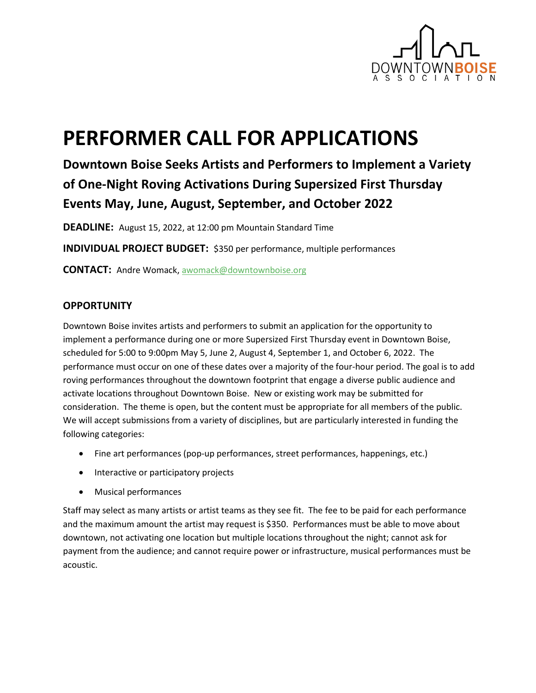

# **PERFORMER CALL FOR APPLICATIONS**

# **Downtown Boise Seeks Artists and Performers to Implement a Variety of One-Night Roving Activations During Supersized First Thursday Events May, June, August, September, and October 2022**

**DEADLINE:** August 15, 2022, at 12:00 pm Mountain Standard Time

**INDIVIDUAL PROJECT BUDGET:** \$350 per performance, multiple performances

**CONTACT:** Andre Womack[, awomack@downtownboise.org](mailto:awomack@downtownboise.org)

#### **OPPORTUNITY**

Downtown Boise invites artists and performers to submit an application for the opportunity to implement a performance during one or more Supersized First Thursday event in Downtown Boise, scheduled for 5:00 to 9:00pm May 5, June 2, August 4, September 1, and October 6, 2022. The performance must occur on one of these dates over a majority of the four-hour period. The goal is to add roving performances throughout the downtown footprint that engage a diverse public audience and activate locations throughout Downtown Boise. New or existing work may be submitted for consideration. The theme is open, but the content must be appropriate for all members of the public. We will accept submissions from a variety of disciplines, but are particularly interested in funding the following categories:

- Fine art performances (pop-up performances, street performances, happenings, etc.)
- Interactive or participatory projects
- Musical performances

Staff may select as many artists or artist teams as they see fit. The fee to be paid for each performance and the maximum amount the artist may request is \$350. Performances must be able to move about downtown, not activating one location but multiple locations throughout the night; cannot ask for payment from the audience; and cannot require power or infrastructure, musical performances must be acoustic.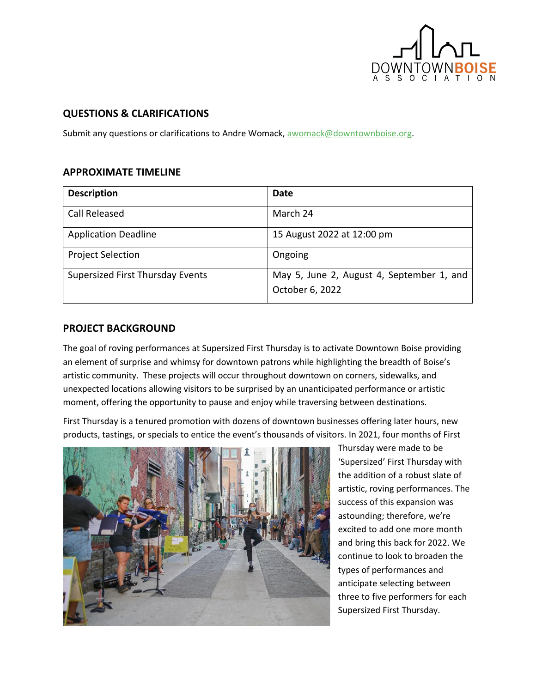

#### **QUESTIONS & CLARIFICATIONS**

Submit any questions or clarifications to Andre Womack, [awomack@downtownboise.org.](mailto:awomack@downtownboise.org)

#### **APPROXIMATE TIMELINE**

| <b>Description</b>                      | Date                                                         |
|-----------------------------------------|--------------------------------------------------------------|
| <b>Call Released</b>                    | March 24                                                     |
| <b>Application Deadline</b>             | 15 August 2022 at 12:00 pm                                   |
| <b>Project Selection</b>                | Ongoing                                                      |
| <b>Supersized First Thursday Events</b> | May 5, June 2, August 4, September 1, and<br>October 6, 2022 |

#### **PROJECT BACKGROUND**

The goal of roving performances at Supersized First Thursday is to activate Downtown Boise providing an element of surprise and whimsy for downtown patrons while highlighting the breadth of Boise's artistic community. These projects will occur throughout downtown on corners, sidewalks, and unexpected locations allowing visitors to be surprised by an unanticipated performance or artistic moment, offering the opportunity to pause and enjoy while traversing between destinations.

First Thursday is a tenured promotion with dozens of downtown businesses offering later hours, new products, tastings, or specials to entice the event's thousands of visitors. In 2021, four months of First



Thursday were made to be 'Supersized' First Thursday with the addition of a robust slate of artistic, roving performances. The success of this expansion was astounding; therefore, we're excited to add one more month and bring this back for 2022. We continue to look to broaden the types of performances and anticipate selecting between three to five performers for each Supersized First Thursday.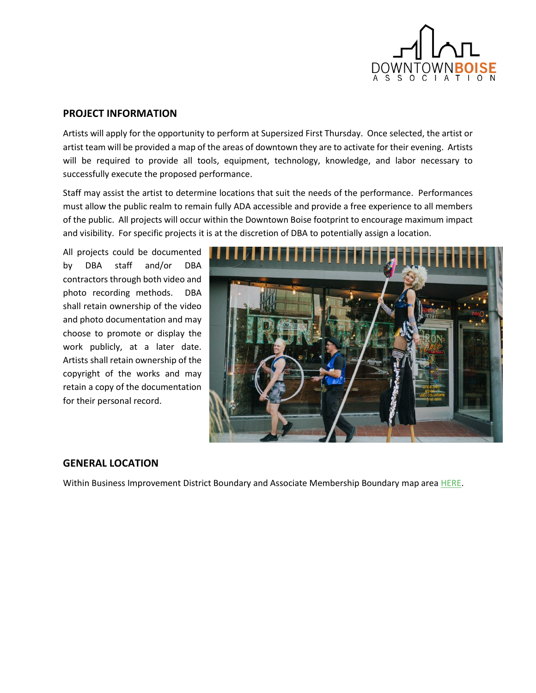

#### **PROJECT INFORMATION**

Artists will apply for the opportunity to perform at Supersized First Thursday. Once selected, the artist or artist team will be provided a map of the areas of downtown they are to activate for their evening. Artists will be required to provide all tools, equipment, technology, knowledge, and labor necessary to successfully execute the proposed performance.

Staff may assist the artist to determine locations that suit the needs of the performance. Performances must allow the public realm to remain fully ADA accessible and provide a free experience to all members of the public. All projects will occur within the Downtown Boise footprint to encourage maximum impact and visibility. For specific projects it is at the discretion of DBA to potentially assign a location.

All projects could be documented by DBA staff and/or DBA contractors through both video and photo recording methods. DBA shall retain ownership of the video and photo documentation and may choose to promote or display the work publicly, at a later date. Artists shall retain ownership of the copyright of the works and may retain a copy of the documentation for their personal record.



#### **GENERAL LOCATION**

Within Business Improvement District Boundary and Associate Membership Boundary map are[a HERE.](https://ctycms.com/id-boise/docs/dba-and-associate-member-boundary-map.pdf)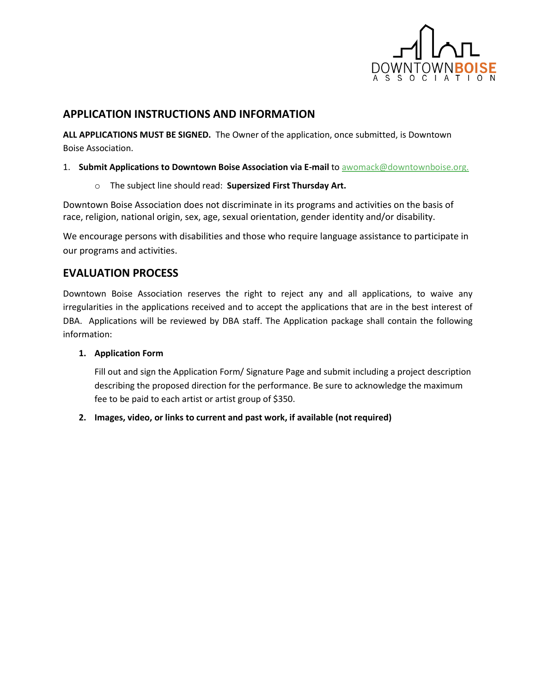

### **APPLICATION INSTRUCTIONS AND INFORMATION**

**ALL APPLICATIONS MUST BE SIGNED.** The Owner of the application, once submitted, is Downtown Boise Association.

- 1. **Submit Applications to Downtown Boise Association via E-mail** t[o awomack@downtownboise.org.](mailto:awomack@downtownboise.org.)
	- o The subject line should read: **Supersized First Thursday Art.**

Downtown Boise Association does not discriminate in its programs and activities on the basis of race, religion, national origin, sex, age, sexual orientation, gender identity and/or disability.

We encourage persons with disabilities and those who require language assistance to participate in our programs and activities.

## **EVALUATION PROCESS**

Downtown Boise Association reserves the right to reject any and all applications, to waive any irregularities in the applications received and to accept the applications that are in the best interest of DBA. Applications will be reviewed by DBA staff. The Application package shall contain the following information:

#### **1. Application Form**

Fill out and sign the Application Form/ Signature Page and submit including a project description describing the proposed direction for the performance. Be sure to acknowledge the maximum fee to be paid to each artist or artist group of \$350.

**2. Images, video, or links to current and past work, if available (not required)**